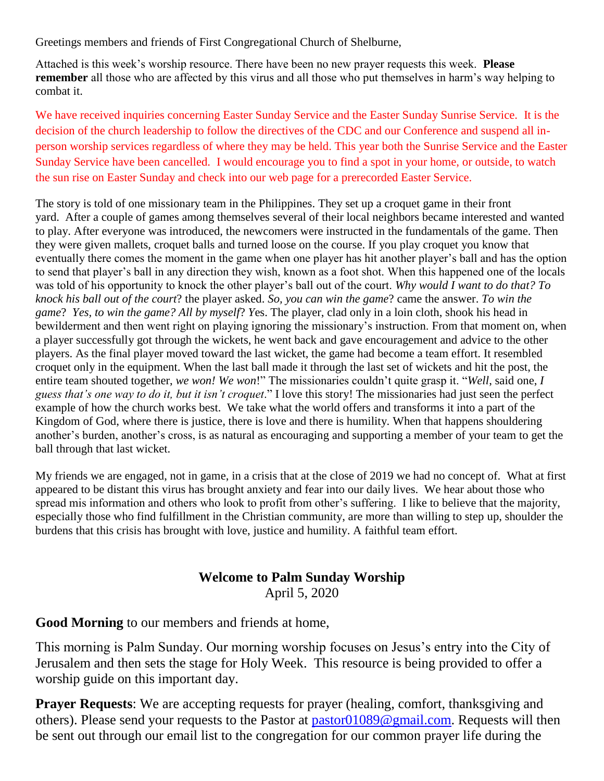Greetings members and friends of First Congregational Church of Shelburne,

Attached is this week's worship resource. There have been no new prayer requests this week. **Please remember** all those who are affected by this virus and all those who put themselves in harm's way helping to combat it.

We have received inquiries concerning Easter Sunday Service and the Easter Sunday Sunrise Service. It is the decision of the church leadership to follow the directives of the CDC and our Conference and suspend all inperson worship services regardless of where they may be held. This year both the Sunrise Service and the Easter Sunday Service have been cancelled. I would encourage you to find a spot in your home, or outside, to watch the sun rise on Easter Sunday and check into our web page for a prerecorded Easter Service.

The story is told of one missionary team in the Philippines. They set up a croquet game in their front yard. After a couple of games among themselves several of their local neighbors became interested and wanted to play. After everyone was introduced, the newcomers were instructed in the fundamentals of the game. Then they were given mallets, croquet balls and turned loose on the course. If you play croquet you know that eventually there comes the moment in the game when one player has hit another player's ball and has the option to send that player's ball in any direction they wish, known as a foot shot. When this happened one of the locals was told of his opportunity to knock the other player's ball out of the court. *Why would I want to do that? To knock his ball out of the court*? the player asked. *So, you can win the game*? came the answer. *To win the game*? *Yes, to win the game? All by myself*? *Y*es. The player, clad only in a loin cloth, shook his head in bewilderment and then went right on playing ignoring the missionary's instruction. From that moment on, when a player successfully got through the wickets, he went back and gave encouragement and advice to the other players. As the final player moved toward the last wicket, the game had become a team effort. It resembled croquet only in the equipment. When the last ball made it through the last set of wickets and hit the post, the entire team shouted together, *we won! We won*!" The missionaries couldn't quite grasp it. "*Well*, said one, *I guess that's one way to do it, but it isn't croquet*." I love this story! The missionaries had just seen the perfect example of how the church works best. We take what the world offers and transforms it into a part of the Kingdom of God, where there is justice*,* there is love and there is humility. When that happens shouldering another's burden, another's cross, is as natural as encouraging and supporting a member of your team to get the ball through that last wicket.

My friends we are engaged, not in game, in a crisis that at the close of 2019 we had no concept of. What at first appeared to be distant this virus has brought anxiety and fear into our daily lives. We hear about those who spread mis information and others who look to profit from other's suffering. I like to believe that the majority, especially those who find fulfillment in the Christian community, are more than willing to step up, shoulder the burdens that this crisis has brought with love, justice and humility. A faithful team effort.

# **Welcome to Palm Sunday Worship**

April 5, 2020

**Good Morning** to our members and friends at home,

This morning is Palm Sunday. Our morning worship focuses on Jesus's entry into the City of Jerusalem and then sets the stage for Holy Week. This resource is being provided to offer a worship guide on this important day.

**Prayer Requests:** We are accepting requests for prayer (healing, comfort, thanksgiving and others). Please send your requests to the Pastor at [pastor01089@gmail.com.](mailto:pastor01089@gmail.com) Requests will then be sent out through our email list to the congregation for our common prayer life during the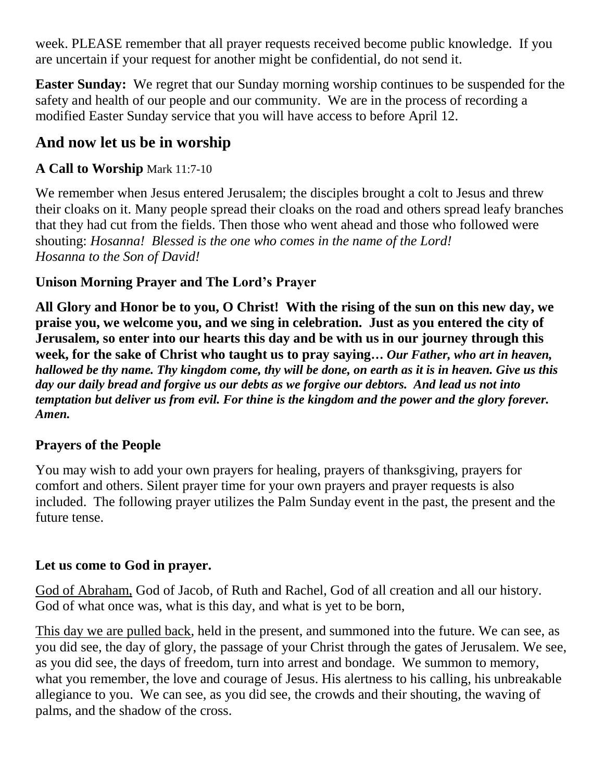week. PLEASE remember that all prayer requests received become public knowledge. If you are uncertain if your request for another might be confidential, do not send it.

**Easter Sunday:** We regret that our Sunday morning worship continues to be suspended for the safety and health of our people and our community. We are in the process of recording a modified Easter Sunday service that you will have access to before April 12.

## **And now let us be in worship**

## **A Call to Worship** Mark 11:7-10

We remember when Jesus entered Jerusalem; the disciples brought a colt to Jesus and threw their cloaks on it. Many people spread their cloaks on the road and others spread leafy branches that they had cut from the fields. Then those who went ahead and those who followed were shouting: *Hosanna! Blessed is the one who comes in the name of the Lord! Hosanna to the Son of David!*

## **Unison Morning Prayer and The Lord's Prayer**

**All Glory and Honor be to you, O Christ! With the rising of the sun on this new day, we praise you, we welcome you, and we sing in celebration. Just as you entered the city of Jerusalem, so enter into our hearts this day and be with us in our journey through this week, for the sake of Christ who taught us to pray saying…** *Our Father, who art in heaven, hallowed be thy name. Thy kingdom come, thy will be done, on earth as it is in heaven. Give us this day our daily bread and forgive us our debts as we forgive our debtors. And lead us not into temptation but deliver us from evil. For thine is the kingdom and the power and the glory forever. Amen.*

#### **Prayers of the People**

You may wish to add your own prayers for healing, prayers of thanksgiving, prayers for comfort and others. Silent prayer time for your own prayers and prayer requests is also included. The following prayer utilizes the Palm Sunday event in the past, the present and the future tense.

## **Let us come to God in prayer.**

God of Abraham, God of Jacob, of Ruth and Rachel, God of all creation and all our history. God of what once was, what is this day, and what is yet to be born,

This day we are pulled back, held in the present, and summoned into the future. We can see, as you did see, the day of glory, the passage of your Christ through the gates of Jerusalem. We see, as you did see, the days of freedom, turn into arrest and bondage. We summon to memory, what you remember, the love and courage of Jesus. His alertness to his calling, his unbreakable allegiance to you. We can see, as you did see, the crowds and their shouting, the waving of palms, and the shadow of the cross.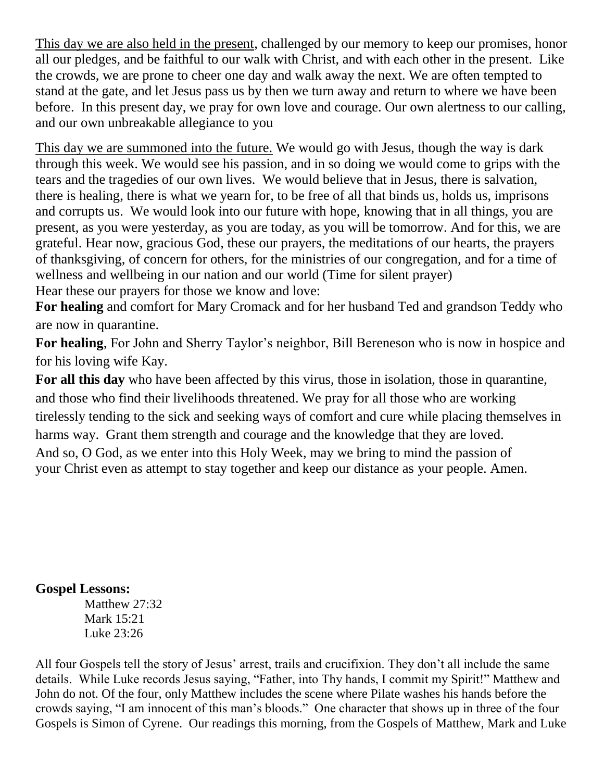This day we are also held in the present, challenged by our memory to keep our promises, honor all our pledges, and be faithful to our walk with Christ, and with each other in the present. Like the crowds, we are prone to cheer one day and walk away the next. We are often tempted to stand at the gate, and let Jesus pass us by then we turn away and return to where we have been before. In this present day, we pray for own love and courage. Our own alertness to our calling, and our own unbreakable allegiance to you

This day we are summoned into the future. We would go with Jesus, though the way is dark through this week. We would see his passion, and in so doing we would come to grips with the tears and the tragedies of our own lives. We would believe that in Jesus, there is salvation, there is healing, there is what we yearn for, to be free of all that binds us, holds us, imprisons and corrupts us. We would look into our future with hope, knowing that in all things, you are present, as you were yesterday, as you are today, as you will be tomorrow. And for this, we are grateful. Hear now, gracious God, these our prayers, the meditations of our hearts, the prayers of thanksgiving, of concern for others, for the ministries of our congregation, and for a time of wellness and wellbeing in our nation and our world (Time for silent prayer) Hear these our prayers for those we know and love:

**For healing** and comfort for Mary Cromack and for her husband Ted and grandson Teddy who are now in quarantine.

**For healing**, For John and Sherry Taylor's neighbor, Bill Bereneson who is now in hospice and for his loving wife Kay.

**For all this day** who have been affected by this virus, those in isolation, those in quarantine, and those who find their livelihoods threatened. We pray for all those who are working tirelessly tending to the sick and seeking ways of comfort and cure while placing themselves in harms way. Grant them strength and courage and the knowledge that they are loved. And so, O God, as we enter into this Holy Week, may we bring to mind the passion of your Christ even as attempt to stay together and keep our distance as your people. Amen.

#### **Gospel Lessons:**

Matthew 27:32 Mark 15:21 Luke 23:26

All four Gospels tell the story of Jesus' arrest, trails and crucifixion. They don't all include the same details. While Luke records Jesus saying, "Father, into Thy hands, I commit my Spirit!" Matthew and John do not. Of the four, only Matthew includes the scene where Pilate washes his hands before the crowds saying, "I am innocent of this man's bloods." One character that shows up in three of the four Gospels is Simon of Cyrene. Our readings this morning, from the Gospels of Matthew, Mark and Luke